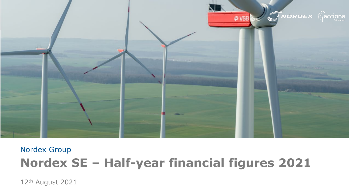

# Nordex Group **Nordex SE – Half-year financial figures 2021**

12th August 2021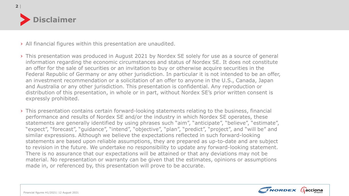

| **2**

#### › All financial figures within this presentation are unaudited.

- › This presentation was produced in August 2021 by Nordex SE solely for use as a source of general information regarding the economic circumstances and status of Nordex SE. It does not constitute an offer for the sale of securities or an invitation to buy or otherwise acquire securities in the Federal Republic of Germany or any other jurisdiction. In particular it is not intended to be an offer, an investment recommendation or a solicitation of an offer to anyone in the U.S., Canada, Japan and Australia or any other jurisdiction. This presentation is confidential. Any reproduction or distribution of this presentation, in whole or in part, without Nordex SE's prior written consent is expressly prohibited.
- › This presentation contains certain forward-looking statements relating to the business, financial performance and results of Nordex SE and/or the industry in which Nordex SE operates, these statements are generally identified by using phrases such "aim", "anticipate", "believe", "estimate", "expect", "forecast", "guidance", "intend", "objective", "plan", "predict", "project", and "will be" and similar expressions. Although we believe the expectations reflected in such forward-looking statements are based upon reliable assumptions, they are prepared as up-to-date and are subject to revision in the future. We undertake no responsibility to update any forward-looking statement. There is no assurance that our expectations will be attained or that any deviations may not be material. No representation or warranty can be given that the estimates, opinions or assumptions made in, or referenced by, this presentation will prove to be accurate.

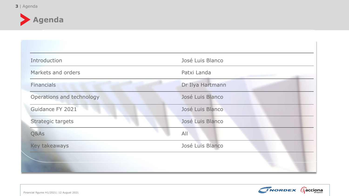

| Introduction              | José Luis Blanco |
|---------------------------|------------------|
| Markets and orders        | Patxi Landa      |
| <b>Financials</b>         | Dr Ilya Hartmann |
| Operations and technology | José Luis Blanco |
| Guidance FY 2021          | José Luis Blanco |
| Strategic targets         | José Luis Blanco |
| Q&As                      | All              |
| Key takeaways             | José Luis Blanco |

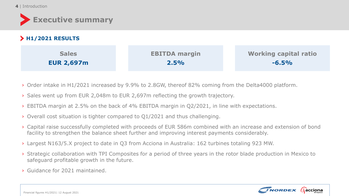**4** | Introduction

| <b>Executive summary</b>          |                              |                                         |
|-----------------------------------|------------------------------|-----------------------------------------|
| > H1/2021 RESULTS                 |                              |                                         |
| <b>Sales</b><br><b>EUR 2,697m</b> | <b>EBITDA margin</b><br>2.5% | <b>Working capital ratio</b><br>$-6.5%$ |

- › Order intake in H1/2021 increased by 9.9% to 2.8GW, thereof 82% coming from the Delta4000 platform.
- › Sales went up from EUR 2,048m to EUR 2,697m reflecting the growth trajectory.
- › EBITDA margin at 2.5% on the back of 4% EBITDA margin in Q2/2021, in line with expectations.
- › Overall cost situation is tighter compared to Q1/2021 and thus challenging.
- › Capital raise successfully completed with proceeds of EUR 586m combined with an increase and extension of bond facility to strengthen the balance sheet further and improving interest payments considerably.
- › Largest N163/5.X project to date in Q3 from Acciona in Australia: 162 turbines totaling 923 MW.
- › Strategic collaboration with TPI Composites for a period of three years in the rotor blade production in Mexico to safeguard profitable growth in the future.
- › Guidance for 2021 maintained.

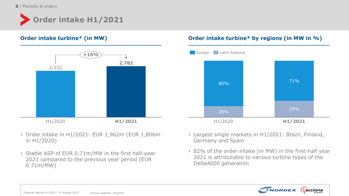**5** | Markets & orders





- › Order intake in H1/2021: EUR 1,962m (EUR 1,806m in H1/2020)
- › Stable ASP of EUR 0.71m/MW in the first half-year 2021 compared to the previous year period (EUR 0.71m/MW)

### **Order intake turbine\* (in MW) Order intake turbine\* by regions (in MW in %)**



- › Largest single markets in H1/2021: Brazil, Finland, Germany and Spain
- › 82% of the order intake (in MW) in the first-half year 2021 is attributable to various turbine types of the Delta4000 generation

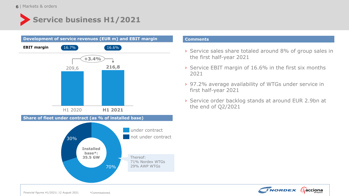## **Service business H1/2021**



- › Service sales share totaled around 8% of group sales in the first half-year 2021
- › Service EBIT margin of 16.6% in the first six months 2021
- › 97.2% average availability of WTGs under service in first half-year 2021
- › Service order backlog stands at around EUR 2.9bn at the end of Q2/2021

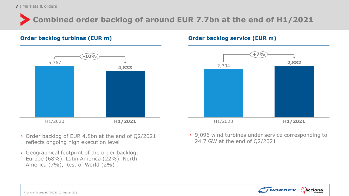**7** | Markets & orders

## **Combined order backlog of around EUR 7.7bn at the end of H1/2021**

### **Order backlog turbines (EUR m) Order backlog service (EUR m)**



- › Order backlog of EUR 4.8bn at the end of Q2/2021 reflects ongoing high execution level
- › Geographical footprint of the order backlog: Europe (68%), Latin America (22%), North America (7%), Rest of World (2%)



› 9,096 wind turbines under service corresponding to 24.7 GW at the end of Q2/2021

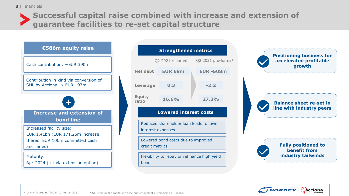

### **Successful capital raise combined with increase and extension of guarantee facilities to re-set capital structure**



| <b>Strengthened metrics</b>                                  |                        |                  |  |                    |  |
|--------------------------------------------------------------|------------------------|------------------|--|--------------------|--|
|                                                              |                        | Q2 2021 reported |  | Q2 2021 pro-forma* |  |
|                                                              | Net debt               | EUR 68m          |  | <b>EUR-508m</b>    |  |
|                                                              | Leverage               | 0.3              |  | $-2.2$             |  |
|                                                              | <b>Equity</b><br>ratio | 16.6%            |  | 27.3%              |  |
| <b>Lowered interest costs</b>                                |                        |                  |  |                    |  |
| Reduced shareholder loan leads to lower<br>interest expenses |                        |                  |  |                    |  |
| Lowered bond costs due to improved<br>credit metrics         |                        |                  |  |                    |  |
| Flexibility to repay or refinance high yield<br>bond         |                        |                  |  |                    |  |







**Fully positioned to benefit from industry tailwinds**

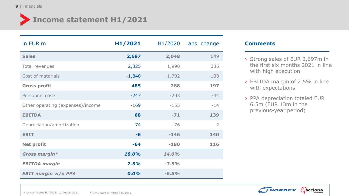# **Income statement H1/2021**

| in EUR m                          | H1/2021  | H1/2020  | abs. change    |
|-----------------------------------|----------|----------|----------------|
| <b>Sales</b>                      | 2,697    | 2,048    | 649            |
| Total revenues                    | 2,325    | 1,990    | 335            |
| Cost of materials                 | $-1,840$ | $-1,702$ | $-138$         |
| <b>Gross profit</b>               | 485      | 288      | 197            |
| Personnel costs                   | $-247$   | $-203$   | $-44$          |
| Other operating (expenses)/income | $-169$   | $-155$   | $-14$          |
| <b>EBITDA</b>                     | 68       | $-71$    | 139            |
| Depreciation/amortization         | $-74$    | $-76$    | $\overline{2}$ |
| <b>EBIT</b>                       | $-6$     | $-146$   | 140            |
| <b>Net profit</b>                 | $-64$    | $-180$   | 116            |
| Gross margin*                     | 18.0%    | 14.0%    |                |
| <b>EBITDA</b> margin              | 2.5%     | $-3.5%$  |                |
| <b>EBIT margin w/o PPA</b>        | $0.0\%$  | $-6.5%$  |                |

- › Strong sales of EUR 2,697m in the first six months 2021 in line with high execution
- › EBITDA margin of 2.5% in line with expectations
- › PPA depreciation totaled EUR 6.5m (EUR 13m in the previous-year period)

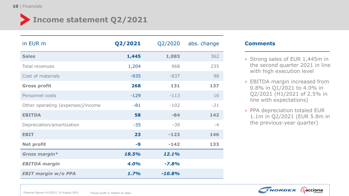# **Income statement Q2/2021**

| in EUR m                          | Q2/2021 | Q2/2020  | abs. change |
|-----------------------------------|---------|----------|-------------|
| <b>Sales</b>                      | 1,445   | 1,083    | 362         |
| Total revenues                    | 1,204   | 968      | 235         |
| Cost of materials                 | $-935$  | $-837$   | 98          |
| <b>Gross profit</b>               | 268     | 131      | 137         |
| Personnel costs                   | $-129$  | $-113$   | 16          |
| Other operating (expenses)/income | $-81$   | $-102$   | $-21$       |
| <b>EBITDA</b>                     | 58      | $-84$    | 142         |
| Depreciation/amortization         | $-35$   | $-39$    | $-4$        |
| <b>EBIT</b>                       | 23      | $-123$   | 146         |
| <b>Net profit</b>                 | -9      | $-142$   | 133         |
| Gross margin*                     | 18.5%   | 12.1%    |             |
| <b>EBITDA</b> margin              | 4.0%    | $-7.8%$  |             |
| <b>EBIT margin w/o PPA</b>        | 1.7%    | $-10.8%$ |             |

- › Strong sales of EUR 1,445m in the second quarter 2021 in line with high execution level
- › EBITDA margin increased from 0.8% in Q1/2021 to 4.0% in Q2/2021 (H1/2021 of 2.5% in line with expectations)
- › PPA depreciation totaled EUR 1.1m in Q2/2021 (EUR 5.8m in the previous-year quarter)

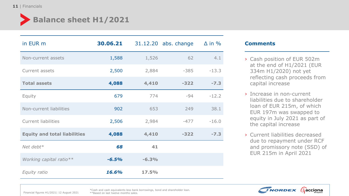## **Balance sheet H1/2021**

| in EUR m                            | 30.06.21 |         | 31.12.20 abs. change | $\Delta$ in % |
|-------------------------------------|----------|---------|----------------------|---------------|
| Non-current assets                  | 1,588    | 1,526   | 62                   | 4.1           |
| Current assets                      | 2,500    | 2,884   | $-385$               | $-13.3$       |
| <b>Total assets</b>                 | 4,088    | 4,410   | $-322$               | $-7.3$        |
| Equity                              | 679      | 774     | $-94$                | $-12.2$       |
| Non-current liabilities             | 902      | 653     | 249                  | 38.1          |
| <b>Current liabilities</b>          | 2,506    | 2,984   | $-477$               | $-16.0$       |
| <b>Equity and total liabilities</b> | 4,088    | 4,410   | $-322$               | $-7.3$        |
| Net debt $*$                        | 68       | 41      |                      |               |
| Working capital ratio**             | $-6.5%$  | $-6.3%$ |                      |               |
| Equity ratio                        | 16.6%    | 17.5%   |                      |               |

#### **Comments**

- › Cash position of EUR 502m at the end of H1/2021 (EUR 334m H1/2020) not yet reflecting cash proceeds from capital increase
- › Increase in non-current liabilities due to shareholder loan of EUR 215m, of which EUR 197m was swapped to equity in July 2021 as part of the capital increase
- › Current liabilities decreased due to repayment under RCF and promissory note (SSD) of EUR 215m in April 2021



Financial figures H1/2021| 12 August 2021

\*Cash and cash equivalents less bank borrowings, bond and shareholder loan. \*\*Based on last twelve months sales.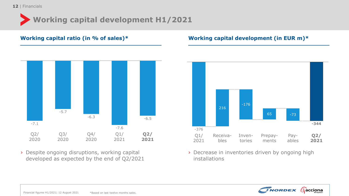## **Working capital development H1/2021**



› Despite ongoing disruptions, working capital developed as expected by the end of Q2/2021

### **Working capital ratio (in % of sales)\* Working capital development (in EUR m)\***



› Decrease in inventories driven by ongoing high installations

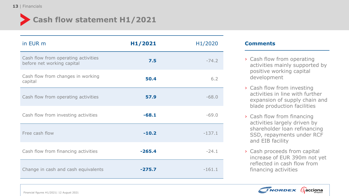

### **Cash flow statement H1/2021**

| in EUR m                                                          | H1/2021  | H1/2020  |
|-------------------------------------------------------------------|----------|----------|
| Cash flow from operating activities<br>before net working capital | 7.5      | $-74.2$  |
| Cash flow from changes in working<br>capital                      | 50.4     | 6.2      |
| Cash flow from operating activities                               | 57.9     | $-68.0$  |
| Cash flow from investing activities                               | $-68.1$  | $-69.0$  |
| Free cash flow                                                    | $-10.2$  | $-137.1$ |
| Cash flow from financing activities                               | $-265.4$ | $-24.1$  |
| Change in cash and cash equivalents                               | $-275.7$ | $-161.1$ |

- › Cash flow from operating activities mainly supported by positive working capital development
- › Cash flow from investing activities in line with further expansion of supply chain and blade production facilities
- › Cash flow from financing activities largely driven by shareholder loan refinancing SSD, repayments under RCF and EIB facility
- › Cash proceeds from capital increase of EUR 390m not yet reflected in cash flow from financing activities

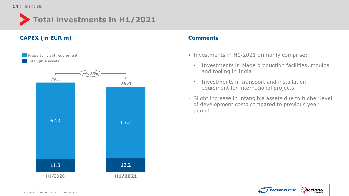

### **CAPEX (in EUR m) Comments**



- › Investments in H1/2021 primarily comprise:
	- Investments in blade production facilities, moulds and tooling in India
	- Investments in transport and installation equipment for international projects
- › Slight increase in intangible assets due to higher level of development costs compared to previous year period

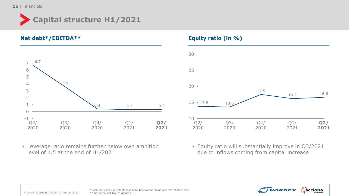



› Leverage ratio remains further below own ambition level of 1.5 at the end of H1/2021





› Equity ratio will substantially improve in Q3/2021 due to inflows coming from capital increase



Financial figures H1/2021| 12 August 2021

\*Cash and cash equivalents less bank borrowings, bond and shareholder loan. \*\* Based on last twelve months.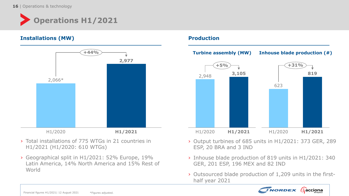

### **Installations (MW) Production**



- › Total installations of 775 WTGs in 21 countries in H1/2021 (H1/2020: 610 WTGs)
- › Geographical split in H1/2021: 52% Europe, 19% Latin America, 14% North America and 15% Rest of World



- › Output turbines of 685 units in H1/2021: 373 GER, 289 ESP, 20 BRA and 3 IND
- › Inhouse blade production of 819 units in H1/2021: 340 GER, 201 ESP, 196 MEX and 82 IND
- › Outsourced blade production of 1,209 units in the firsthalf year 2021

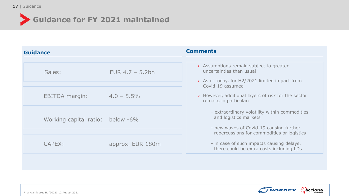

# **Guidance for FY 2021 maintained**

| <b>Guidance</b>                  |                    | <b>Comments</b>                                                                                                   |
|----------------------------------|--------------------|-------------------------------------------------------------------------------------------------------------------|
|                                  |                    |                                                                                                                   |
| Sales:                           | EUR $4.7 - 5.2$ bn | > Assumptions remain subject to greater<br>uncertainties than usual                                               |
|                                  |                    | > As of today, for H2/2021 limited impact from<br>Covid-19 assumed                                                |
| <b>EBITDA</b> margin:            | $4.0 - 5.5\%$      | > However, additional layers of risk for the sector<br>remain, in particular:                                     |
| Working capital ratio: below -6% |                    | - extraordinary volatility within commodities<br>and logistics markets<br>- new waves of Covid-19 causing further |
|                                  |                    | repercussions for commodities or logistics                                                                        |
| <b>CAPEX:</b>                    | approx. EUR 180m   | - in case of such impacts causing delays,<br>there could be extra costs including LDs                             |

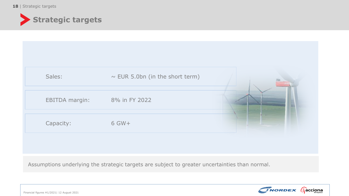

| Sales:                | $\sim$ EUR 5.0bn (in the short term) |  |
|-----------------------|--------------------------------------|--|
| <b>EBITDA margin:</b> | 8% in FY 2022                        |  |
| Capacity:             | 6 GW+                                |  |
|                       |                                      |  |

Assumptions underlying the strategic targets are subject to greater uncertainties than normal.



Financial figures H1/2021| 12 August 2021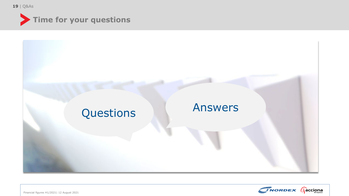| **19** Q&As







Financial figures H1/2021| 12 August 2021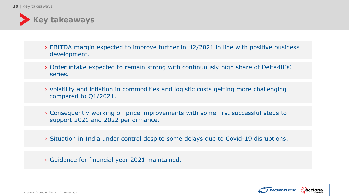

- › EBITDA margin expected to improve further in H2/2021 in line with positive business development.
- › Order intake expected to remain strong with continuously high share of Delta4000 series.
- › Volatility and inflation in commodities and logistic costs getting more challenging compared to Q1/2021.
- › Consequently working on price improvements with some first successful steps to support 2021 and 2022 performance.
- › Situation in India under control despite some delays due to Covid-19 disruptions.
- › Guidance for financial year 2021 maintained.

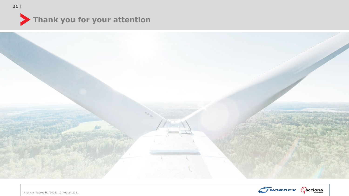